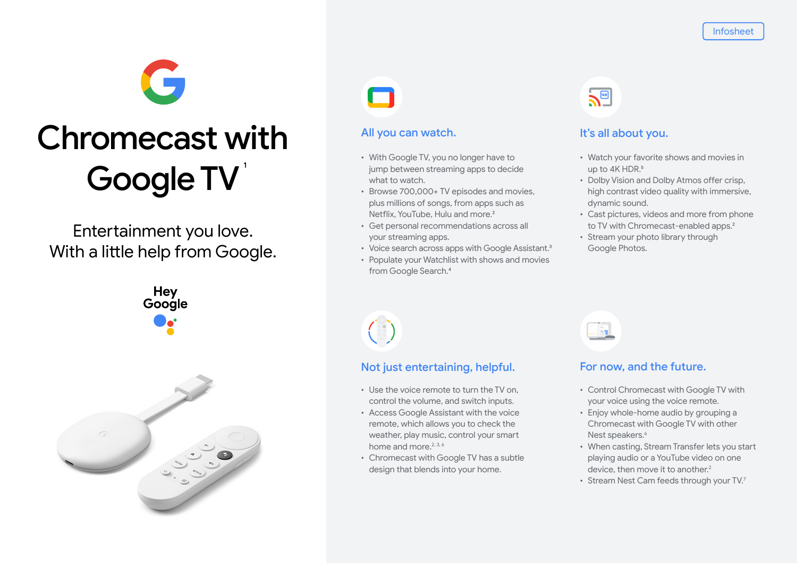# C Chromecast with Google TV

Entertainment you love. With a little help from Google.





#### All you can watch.

- With Google TV, you no longer have to jump between streaming apps to decide what to watch.
- Browse 700,000+ TV episodes and movies, plus millions of songs, from apps such as Netflix, YouTube, Hulu and more.<sup>2</sup>
- Get personal recommendations across all your streaming apps.
- Voice search across apps with Google Assistant.<sup>3</sup>
- Populate your Watchlist with shows and movies from Google Search.4

## $\sum$

#### It's all about you.

- Watch your favorite shows and movies in up to 4K HDR.<sup>5</sup>
- Dolby Vision and Dolby Atmos offer crisp, high contrast video quality with immersive, dynamic sound.
- Cast pictures, videos and more from phone to TV with Chromecast-enabled apps.<sup>2</sup>
- Stream your photo library through Google Photos.

#### Not just entertaining, helpful.

- Use the voice remote to turn the TV on, control the volume, and switch inputs.
- Access Google Assistant with the voice remote, which allows you to check the weather, play music, control your smart home and more  $2, 3, 6$
- Chromecast with Google TV has a subtle design that blends into your home.

### For now, and the future.

 $\frac{1}{10}$ 

- Control Chromecast with Google TV with your voice using the voice remote.
- Enjoy whole-home audio by grouping a Chromecast with Google TV with other Nest speakers.<sup>6</sup>
- When casting, Stream Transfer lets you start playing audio or a YouTube video on one device, then move it to another.<sup>2</sup>
- Stream Nest Cam feeds through your TV.7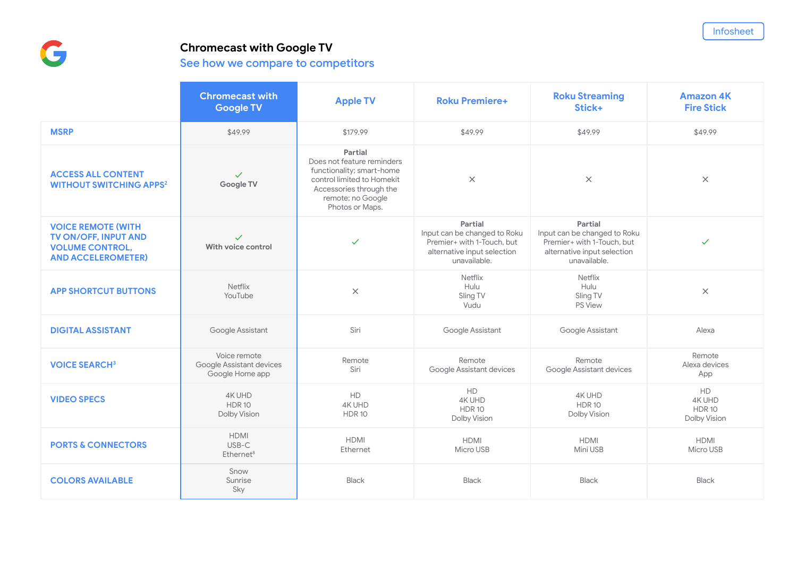

#### **Chromecast with Google TV**

#### See how we compare to competitors

|                                                                                                          | <b>Chromecast with</b><br><b>Google TV</b>                  | <b>Apple TV</b>                                                                                                                                                     | <b>Roku Premiere+</b>                                                                                                | <b>Roku Streaming</b><br>Stick+                                                                                      | <b>Amazon 4K</b><br><b>Fire Stick</b>               |
|----------------------------------------------------------------------------------------------------------|-------------------------------------------------------------|---------------------------------------------------------------------------------------------------------------------------------------------------------------------|----------------------------------------------------------------------------------------------------------------------|----------------------------------------------------------------------------------------------------------------------|-----------------------------------------------------|
| <b>MSRP</b>                                                                                              | \$49.99                                                     | \$179.99                                                                                                                                                            | \$49.99                                                                                                              | \$49.99                                                                                                              | \$49.99                                             |
| <b>ACCESS ALL CONTENT</b><br><b>WITHOUT SWITCHING APPS<sup>2</sup></b>                                   | $\checkmark$<br>Google TV                                   | Partial<br>Does not feature reminders<br>functionality; smart-home<br>control limited to Homekit<br>Accessories through the<br>remote; no Google<br>Photos or Maps. | $\times$                                                                                                             | $\times$                                                                                                             | $\times$                                            |
| <b>VOICE REMOTE (WITH</b><br>TV ON/OFF, INPUT AND<br><b>VOLUME CONTROL,</b><br><b>AND ACCELEROMETER)</b> | $\checkmark$<br>With voice control                          | $\checkmark$                                                                                                                                                        | Partial<br>Input can be changed to Roku<br>Premier+ with 1-Touch, but<br>alternative input selection<br>unavailable. | Partial<br>Input can be changed to Roku<br>Premier+ with 1-Touch, but<br>alternative input selection<br>unavailable. | $\checkmark$                                        |
| <b>APP SHORTCUT BUTTONS</b>                                                                              | Netflix<br>YouTube                                          | $\times$                                                                                                                                                            | Netflix<br>Hulu<br>Sling TV<br>Vudu                                                                                  | Netflix<br>Hulu<br>Sling TV<br><b>PS View</b>                                                                        | $\times$                                            |
| <b>DIGITAL ASSISTANT</b>                                                                                 | Google Assistant                                            | Siri                                                                                                                                                                | Google Assistant                                                                                                     | Google Assistant                                                                                                     | Alexa                                               |
| <b>VOICE SEARCH3</b>                                                                                     | Voice remote<br>Google Assistant devices<br>Google Home app | Remote<br>Siri                                                                                                                                                      | Remote<br>Google Assistant devices                                                                                   | Remote<br>Google Assistant devices                                                                                   | Remote<br>Alexa devices<br>App                      |
| <b>VIDEO SPECS</b>                                                                                       | 4K UHD<br><b>HDR 10</b><br>Dolby Vision                     | <b>HD</b><br><b>4K UHD</b><br><b>HDR 10</b>                                                                                                                         | <b>HD</b><br>4K UHD<br><b>HDR10</b><br>Dolby Vision                                                                  | <b>4K UHD</b><br><b>HDR 10</b><br>Dolby Vision                                                                       | HD<br>4K UHD<br><b>HDR10</b><br><b>Dolby Vision</b> |
| <b>PORTS &amp; CONNECTORS</b>                                                                            | <b>HDMI</b><br>USB-C<br>Ethernet <sup>8</sup>               | <b>HDMI</b><br>Ethernet                                                                                                                                             | <b>HDMI</b><br>Micro USB                                                                                             | <b>HDMI</b><br>Mini USB                                                                                              | <b>HDMI</b><br>Micro USB                            |
| <b>COLORS AVAILABLE</b>                                                                                  | Snow<br>Sunrise<br>Sky                                      | Black                                                                                                                                                               | <b>Black</b>                                                                                                         | Black                                                                                                                | <b>Black</b>                                        |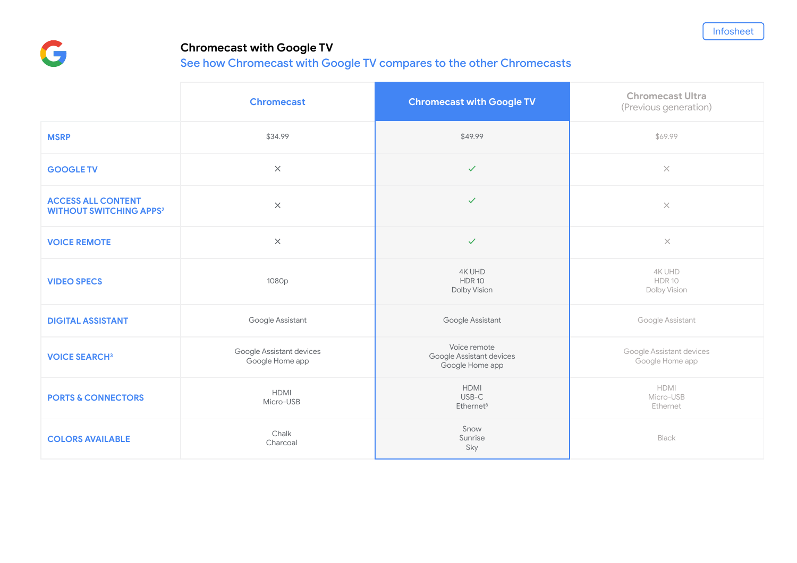

#### **Chromecast with Google TV**

See how Chromecast with Google TV compares to the other Chromecasts

|                                                                        | <b>Chromecast</b>                           | <b>Chromecast with Google TV</b>                            | <b>Chromecast Ultra</b><br>(Previous generation) |
|------------------------------------------------------------------------|---------------------------------------------|-------------------------------------------------------------|--------------------------------------------------|
| <b>MSRP</b>                                                            | \$34.99                                     | \$49.99                                                     | \$69.99                                          |
| <b>GOOGLE TV</b>                                                       | $\times$                                    | $\checkmark$                                                | $\times$                                         |
| <b>ACCESS ALL CONTENT</b><br><b>WITHOUT SWITCHING APPS<sup>2</sup></b> | $\times$                                    | $\checkmark$                                                | $\times$                                         |
| <b>VOICE REMOTE</b>                                                    | $\times$                                    | $\checkmark$                                                | $\times$                                         |
| <b>VIDEO SPECS</b>                                                     | 1080p                                       | 4K UHD<br><b>HDR10</b><br>Dolby Vision                      | 4K UHD<br><b>HDR 10</b><br>Dolby Vision          |
| <b>DIGITAL ASSISTANT</b>                                               | Google Assistant                            | Google Assistant                                            | Google Assistant                                 |
| <b>VOICE SEARCH3</b>                                                   | Google Assistant devices<br>Google Home app | Voice remote<br>Google Assistant devices<br>Google Home app | Google Assistant devices<br>Google Home app      |
| <b>PORTS &amp; CONNECTORS</b>                                          | <b>HDMI</b><br>Micro-USB                    | <b>HDMI</b><br>USB-C<br>Ethernet <sup>8</sup>               | <b>HDMI</b><br>Micro-USB<br>Ethernet             |
| <b>COLORS AVAILABLE</b>                                                | Chalk<br>Charcoal                           | Snow<br>Sunrise<br>Sky                                      | <b>Black</b>                                     |